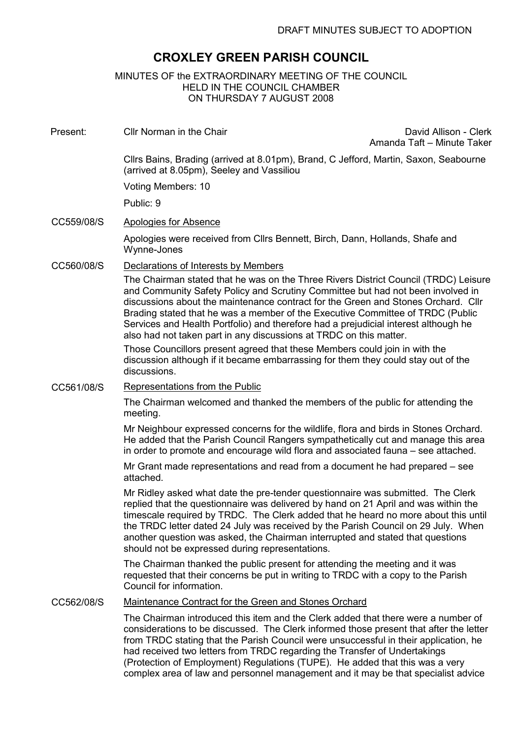# CROXLEY GREEN PARISH COUNCIL

# MINUTES OF the EXTRAORDINARY MEETING OF THE COUNCIL HELD IN THE COUNCIL CHAMBER ON THURSDAY 7 AUGUST 2008

Present: Cllr Norman in the Chair David Allison - Clerk

Amanda Taft – Minute Taker

Cllrs Bains, Brading (arrived at 8.01pm), Brand, C Jefford, Martin, Saxon, Seabourne (arrived at 8.05pm), Seeley and Vassiliou

Voting Members: 10

Public: 9

# CC559/08/S Apologies for Absence

Apologies were received from Cllrs Bennett, Birch, Dann, Hollands, Shafe and Wynne-Jones

### CC560/08/S Declarations of Interests by Members

The Chairman stated that he was on the Three Rivers District Council (TRDC) Leisure and Community Safety Policy and Scrutiny Committee but had not been involved in discussions about the maintenance contract for the Green and Stones Orchard. Cllr Brading stated that he was a member of the Executive Committee of TRDC (Public Services and Health Portfolio) and therefore had a prejudicial interest although he also had not taken part in any discussions at TRDC on this matter.

Those Councillors present agreed that these Members could join in with the discussion although if it became embarrassing for them they could stay out of the discussions.

#### CC561/08/S Representations from the Public

The Chairman welcomed and thanked the members of the public for attending the meeting.

Mr Neighbour expressed concerns for the wildlife, flora and birds in Stones Orchard. He added that the Parish Council Rangers sympathetically cut and manage this area in order to promote and encourage wild flora and associated fauna – see attached.

Mr Grant made representations and read from a document he had prepared – see attached.

Mr Ridley asked what date the pre-tender questionnaire was submitted. The Clerk replied that the questionnaire was delivered by hand on 21 April and was within the timescale required by TRDC. The Clerk added that he heard no more about this until the TRDC letter dated 24 July was received by the Parish Council on 29 July. When another question was asked, the Chairman interrupted and stated that questions should not be expressed during representations.

The Chairman thanked the public present for attending the meeting and it was requested that their concerns be put in writing to TRDC with a copy to the Parish Council for information.

# CC562/08/S Maintenance Contract for the Green and Stones Orchard

The Chairman introduced this item and the Clerk added that there were a number of considerations to be discussed. The Clerk informed those present that after the letter from TRDC stating that the Parish Council were unsuccessful in their application, he had received two letters from TRDC regarding the Transfer of Undertakings (Protection of Employment) Regulations (TUPE). He added that this was a very complex area of law and personnel management and it may be that specialist advice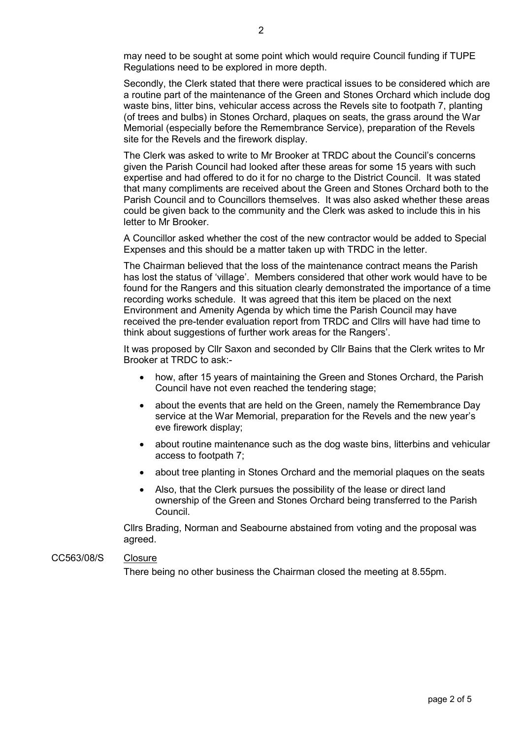may need to be sought at some point which would require Council funding if TUPE Regulations need to be explored in more depth.

Secondly, the Clerk stated that there were practical issues to be considered which are a routine part of the maintenance of the Green and Stones Orchard which include dog waste bins, litter bins, vehicular access across the Revels site to footpath 7, planting (of trees and bulbs) in Stones Orchard, plaques on seats, the grass around the War Memorial (especially before the Remembrance Service), preparation of the Revels site for the Revels and the firework display.

The Clerk was asked to write to Mr Brooker at TRDC about the Council's concerns given the Parish Council had looked after these areas for some 15 years with such expertise and had offered to do it for no charge to the District Council. It was stated that many compliments are received about the Green and Stones Orchard both to the Parish Council and to Councillors themselves. It was also asked whether these areas could be given back to the community and the Clerk was asked to include this in his letter to Mr Brooker.

A Councillor asked whether the cost of the new contractor would be added to Special Expenses and this should be a matter taken up with TRDC in the letter.

The Chairman believed that the loss of the maintenance contract means the Parish has lost the status of 'village'. Members considered that other work would have to be found for the Rangers and this situation clearly demonstrated the importance of a time recording works schedule. It was agreed that this item be placed on the next Environment and Amenity Agenda by which time the Parish Council may have received the pre-tender evaluation report from TRDC and Cllrs will have had time to think about suggestions of further work areas for the Rangers'.

It was proposed by Cllr Saxon and seconded by Cllr Bains that the Clerk writes to Mr Brooker at TRDC to ask:-

- how, after 15 years of maintaining the Green and Stones Orchard, the Parish Council have not even reached the tendering stage;
- about the events that are held on the Green, namely the Remembrance Day service at the War Memorial, preparation for the Revels and the new year's eve firework display;
- about routine maintenance such as the dog waste bins, litterbins and vehicular access to footpath 7;
- about tree planting in Stones Orchard and the memorial plaques on the seats
- Also, that the Clerk pursues the possibility of the lease or direct land ownership of the Green and Stones Orchard being transferred to the Parish Council.

Cllrs Brading, Norman and Seabourne abstained from voting and the proposal was agreed.

### CC563/08/S Closure

There being no other business the Chairman closed the meeting at 8.55pm.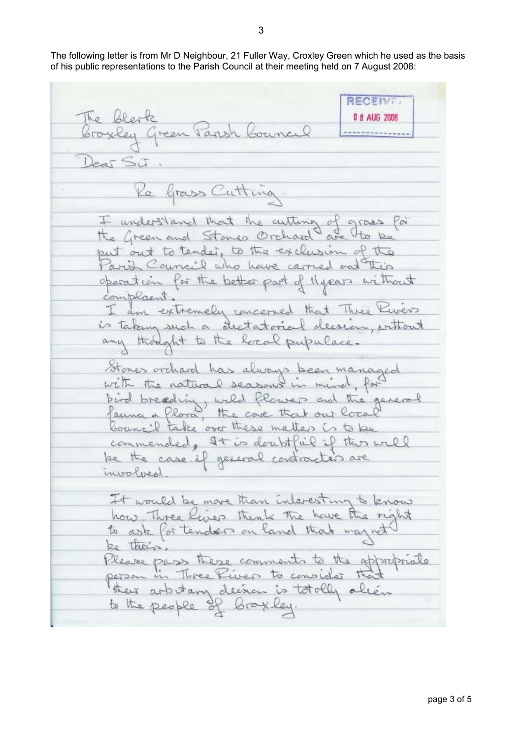The following letter is from Mr D Neighbour, 21 Fuller Way, Croxley Green which he used as the basis of his public representations to the Parish Council at their meeting held on 7 August 2008:

RECEIVE: The blesk 0 8 AUG 2008 broxley Green Parish Council \*\*\*\*\*\*\*\*\*\*\*\*  $2$ eas Si Re Grass Cutting I understand that the author of gross put out to tender, to the exclusion of the Parish Council who have carried out this operation for the better part of llyears without complaint. am extremely concerned that Three Ker is taking such a dectatorial decreen, without any thought to the level pupulace. Stones orchard has always been managed with the natural seasons in mind, for bird breading, wild flower and the general fauna a flora, the case that our local bouncil take over these matters is to be commended, It is doubtful if this will be the case if general contracted are involved It would be more than interesting to know how Three Rives think the have the right to ask for tenders on land that may not be their. Please pass these comments to the appropriate person in Three River to consider the their arbitany decree is totally alien to the people of broxley.

3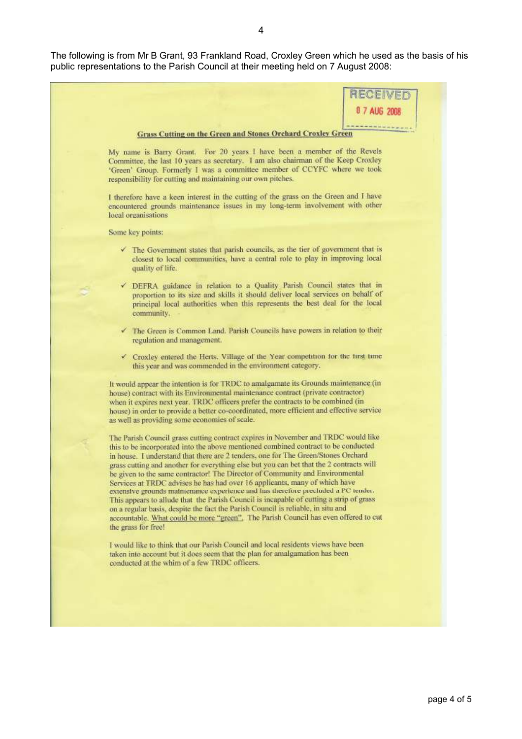The following is from Mr B Grant, 93 Frankland Road, Croxley Green which he used as the basis of his public representations to the Parish Council at their meeting held on 7 August 2008: